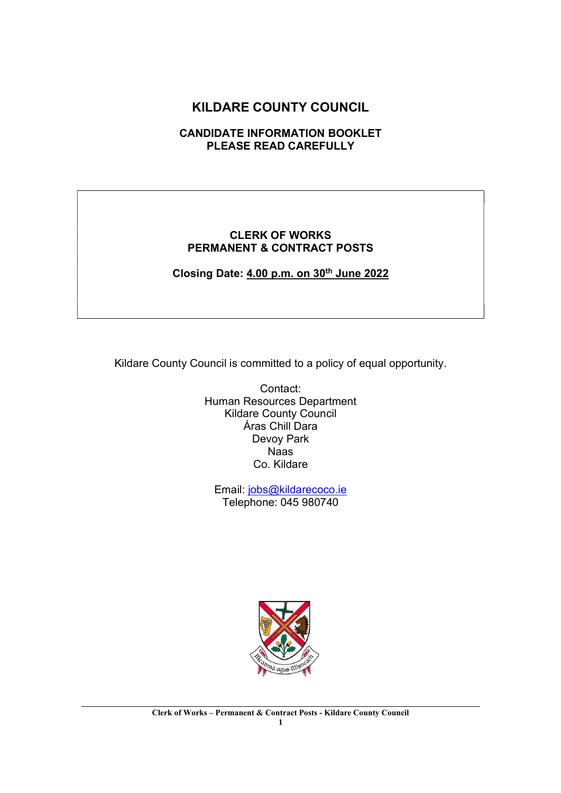# KILDARE COUNTY COUNCIL

# CANDIDATE INFORMATION BOOKLET PLEASE READ CAREFULLY

#### CLERK OF WORKS PERMANENT & CONTRACT POSTS

Closing Date: 4.00 p.m. on 30<sup>th</sup> June 2022

Kildare County Council is committed to a policy of equal opportunity.

Contact: Human Resources Department Kildare County Council Áras Chill Dara Devoy Park Naas Co. Kildare

Email: jobs@kildarecoco.ie Telephone: 045 980740

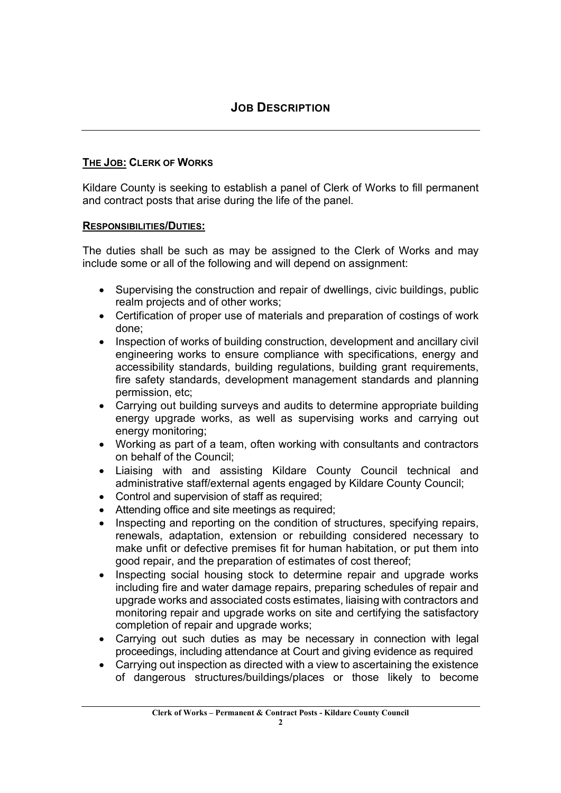# THE JOB: CLERK OF WORKS

Kildare County is seeking to establish a panel of Clerk of Works to fill permanent and contract posts that arise during the life of the panel.

# RESPONSIBILITIES/DUTIES:

The duties shall be such as may be assigned to the Clerk of Works and may include some or all of the following and will depend on assignment:

- Supervising the construction and repair of dwellings, civic buildings, public realm projects and of other works;
- Certification of proper use of materials and preparation of costings of work done;
- Inspection of works of building construction, development and ancillary civil engineering works to ensure compliance with specifications, energy and accessibility standards, building regulations, building grant requirements, fire safety standards, development management standards and planning permission, etc;
- Carrying out building surveys and audits to determine appropriate building energy upgrade works, as well as supervising works and carrying out energy monitoring;
- Working as part of a team, often working with consultants and contractors on behalf of the Council;
- Liaising with and assisting Kildare County Council technical and administrative staff/external agents engaged by Kildare County Council;
- Control and supervision of staff as required;
- Attending office and site meetings as required;
- Inspecting and reporting on the condition of structures, specifying repairs, renewals, adaptation, extension or rebuilding considered necessary to make unfit or defective premises fit for human habitation, or put them into good repair, and the preparation of estimates of cost thereof;
- Inspecting social housing stock to determine repair and upgrade works including fire and water damage repairs, preparing schedules of repair and upgrade works and associated costs estimates, liaising with contractors and monitoring repair and upgrade works on site and certifying the satisfactory completion of repair and upgrade works;
- Carrying out such duties as may be necessary in connection with legal proceedings, including attendance at Court and giving evidence as required
- Carrying out inspection as directed with a view to ascertaining the existence of dangerous structures/buildings/places or those likely to become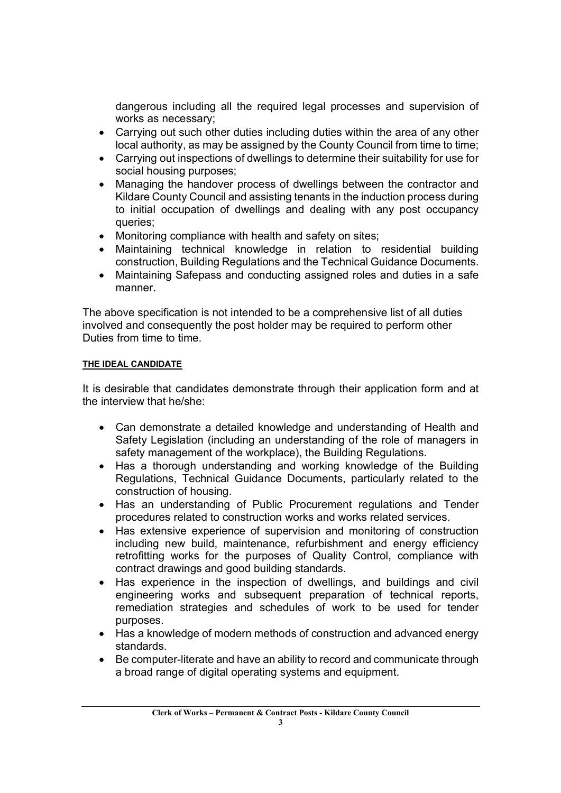dangerous including all the required legal processes and supervision of works as necessary;

- Carrying out such other duties including duties within the area of any other local authority, as may be assigned by the County Council from time to time;
- Carrying out inspections of dwellings to determine their suitability for use for social housing purposes;
- Managing the handover process of dwellings between the contractor and Kildare County Council and assisting tenants in the induction process during to initial occupation of dwellings and dealing with any post occupancy queries;
- Monitoring compliance with health and safety on sites;
- Maintaining technical knowledge in relation to residential building construction, Building Regulations and the Technical Guidance Documents.
- Maintaining Safepass and conducting assigned roles and duties in a safe manner.

The above specification is not intended to be a comprehensive list of all duties involved and consequently the post holder may be required to perform other Duties from time to time.

#### THE IDEAL CANDIDATE

It is desirable that candidates demonstrate through their application form and at the interview that he/she:

- Can demonstrate a detailed knowledge and understanding of Health and Safety Legislation (including an understanding of the role of managers in safety management of the workplace), the Building Regulations.
- Has a thorough understanding and working knowledge of the Building Regulations, Technical Guidance Documents, particularly related to the construction of housing.
- Has an understanding of Public Procurement regulations and Tender procedures related to construction works and works related services.
- Has extensive experience of supervision and monitoring of construction including new build, maintenance, refurbishment and energy efficiency retrofitting works for the purposes of Quality Control, compliance with contract drawings and good building standards.
- Has experience in the inspection of dwellings, and buildings and civil engineering works and subsequent preparation of technical reports, remediation strategies and schedules of work to be used for tender purposes.
- Has a knowledge of modern methods of construction and advanced energy standards.
- Be computer-literate and have an ability to record and communicate through a broad range of digital operating systems and equipment.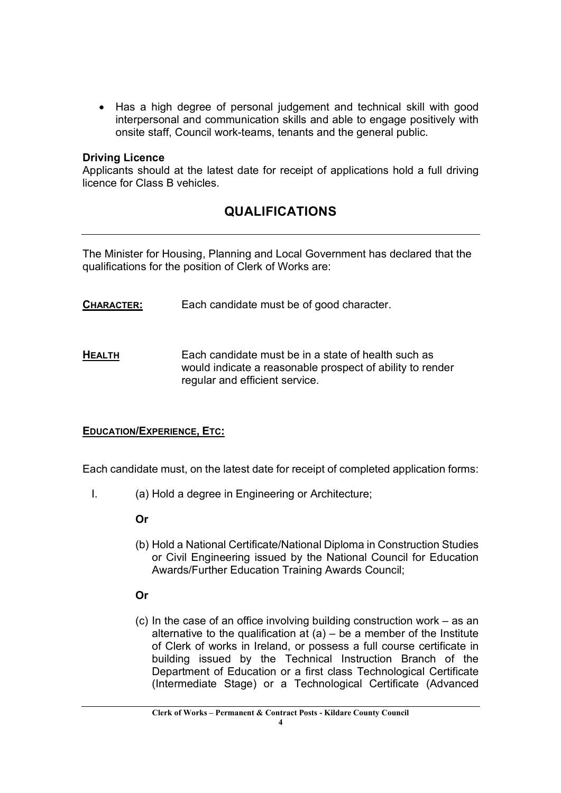• Has a high degree of personal judgement and technical skill with good interpersonal and communication skills and able to engage positively with onsite staff, Council work-teams, tenants and the general public.

#### Driving Licence

Applicants should at the latest date for receipt of applications hold a full driving licence for Class B vehicles.

# QUALIFICATIONS

The Minister for Housing, Planning and Local Government has declared that the qualifications for the position of Clerk of Works are:

- CHARACTER: Each candidate must be of good character.
- HEALTH Each candidate must be in a state of health such as would indicate a reasonable prospect of ability to render regular and efficient service.

#### EDUCATION/EXPERIENCE, ETC:

Each candidate must, on the latest date for receipt of completed application forms:

I. (a) Hold a degree in Engineering or Architecture;

# Or

(b) Hold a National Certificate/National Diploma in Construction Studies or Civil Engineering issued by the National Council for Education Awards/Further Education Training Awards Council;

# Or

(c) In the case of an office involving building construction work – as an alternative to the qualification at  $(a)$  – be a member of the Institute of Clerk of works in Ireland, or possess a full course certificate in building issued by the Technical Instruction Branch of the Department of Education or a first class Technological Certificate (Intermediate Stage) or a Technological Certificate (Advanced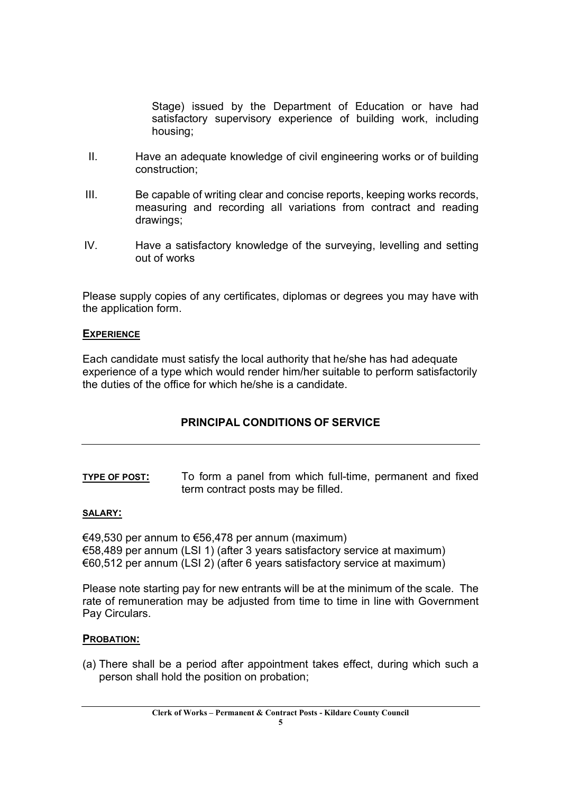Stage) issued by the Department of Education or have had satisfactory supervisory experience of building work, including housing;

- II. Have an adequate knowledge of civil engineering works or of building construction;
- III. Be capable of writing clear and concise reports, keeping works records, measuring and recording all variations from contract and reading drawings;
- IV. Have a satisfactory knowledge of the surveying, levelling and setting out of works

Please supply copies of any certificates, diplomas or degrees you may have with the application form.

#### **EXPERIENCE**

Each candidate must satisfy the local authority that he/she has had adequate experience of a type which would render him/her suitable to perform satisfactorily the duties of the office for which he/she is a candidate.

# PRINCIPAL CONDITIONS OF SERVICE

TYPE OF POST: To form a panel from which full-time, permanent and fixed term contract posts may be filled.

#### SALARY:

€49,530 per annum to €56,478 per annum (maximum) €58,489 per annum (LSI 1) (after 3 years satisfactory service at maximum) €60,512 per annum (LSI 2) (after 6 years satisfactory service at maximum)

Please note starting pay for new entrants will be at the minimum of the scale. The rate of remuneration may be adjusted from time to time in line with Government Pay Circulars.

#### PROBATION:

(a) There shall be a period after appointment takes effect, during which such a person shall hold the position on probation;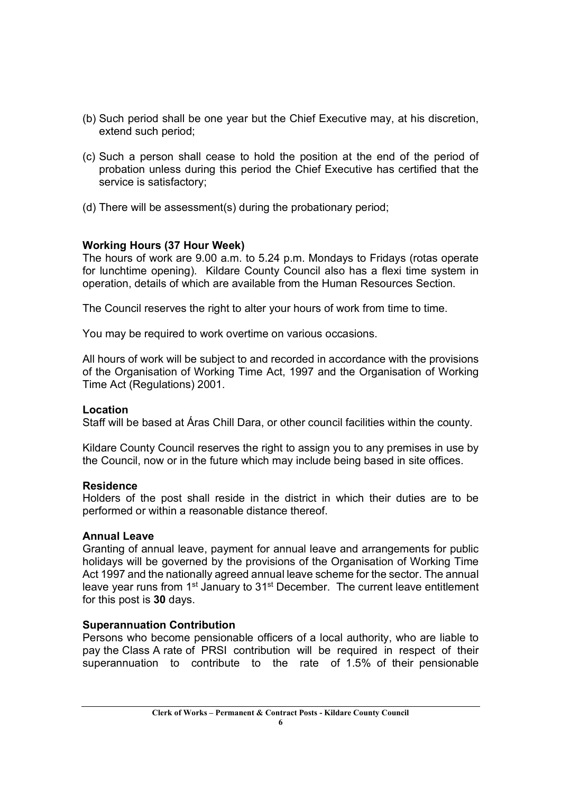- (b) Such period shall be one year but the Chief Executive may, at his discretion, extend such period;
- (c) Such a person shall cease to hold the position at the end of the period of probation unless during this period the Chief Executive has certified that the service is satisfactory;
- (d) There will be assessment(s) during the probationary period;

# Working Hours (37 Hour Week)

The hours of work are 9.00 a.m. to 5.24 p.m. Mondays to Fridays (rotas operate for lunchtime opening). Kildare County Council also has a flexi time system in operation, details of which are available from the Human Resources Section.

The Council reserves the right to alter your hours of work from time to time.

You may be required to work overtime on various occasions.

All hours of work will be subject to and recorded in accordance with the provisions of the Organisation of Working Time Act, 1997 and the Organisation of Working Time Act (Regulations) 2001.

# Location

Staff will be based at Áras Chill Dara, or other council facilities within the county.

Kildare County Council reserves the right to assign you to any premises in use by the Council, now or in the future which may include being based in site offices.

#### Residence

Holders of the post shall reside in the district in which their duties are to be performed or within a reasonable distance thereof.

#### Annual Leave

Granting of annual leave, payment for annual leave and arrangements for public holidays will be governed by the provisions of the Organisation of Working Time Act 1997 and the nationally agreed annual leave scheme for the sector. The annual leave year runs from 1<sup>st</sup> January to 31<sup>st</sup> December. The current leave entitlement for this post is 30 days.

# Superannuation Contribution

Persons who become pensionable officers of a local authority, who are liable to pay the Class A rate of PRSI contribution will be required in respect of their superannuation to contribute to the rate of 1.5% of their pensionable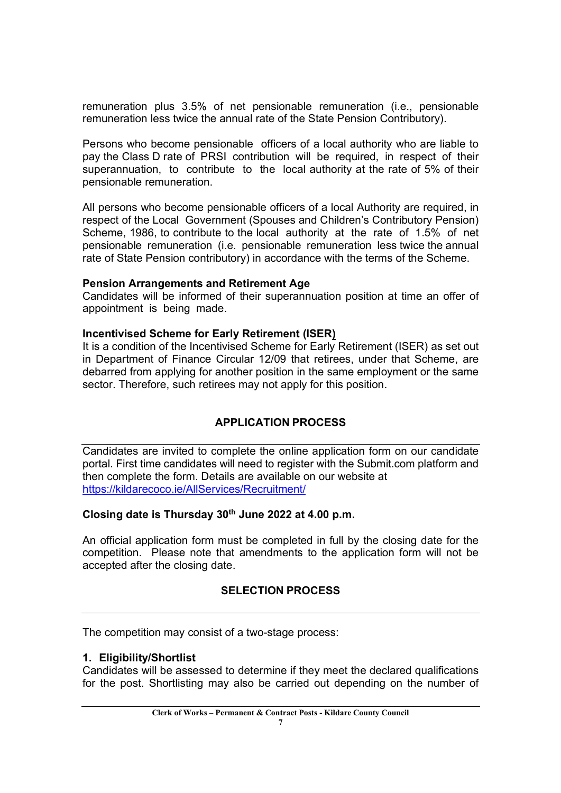remuneration plus 3.5% of net pensionable remuneration (i.e., pensionable remuneration less twice the annual rate of the State Pension Contributory).

Persons who become pensionable officers of a local authority who are liable to pay the Class D rate of PRSI contribution will be required, in respect of their superannuation, to contribute to the local authority at the rate of 5% of their pensionable remuneration.

All persons who become pensionable officers of a local Authority are required, in respect of the Local Government (Spouses and Children's Contributory Pension) Scheme, 1986, to contribute to the local authority at the rate of 1.5% of net pensionable remuneration (i.e. pensionable remuneration less twice the annual rate of State Pension contributory) in accordance with the terms of the Scheme.

#### Pension Arrangements and Retirement Age

Candidates will be informed of their superannuation position at time an offer of appointment is being made.

# Incentivised Scheme for Early Retirement (ISER)

It is a condition of the Incentivised Scheme for Early Retirement (ISER) as set out in Department of Finance Circular 12/09 that retirees, under that Scheme, are debarred from applying for another position in the same employment or the same sector. Therefore, such retirees may not apply for this position.

# APPLICATION PROCESS

Candidates are invited to complete the online application form on our candidate portal. First time candidates will need to register with the Submit.com platform and then complete the form. Details are available on our website at https://kildarecoco.ie/AllServices/Recruitment/

# Closing date is Thursday  $30<sup>th</sup>$  June 2022 at 4.00 p.m.

An official application form must be completed in full by the closing date for the competition. Please note that amendments to the application form will not be accepted after the closing date.

# SELECTION PROCESS

The competition may consist of a two-stage process:

# 1. Eligibility/Shortlist

Candidates will be assessed to determine if they meet the declared qualifications for the post. Shortlisting may also be carried out depending on the number of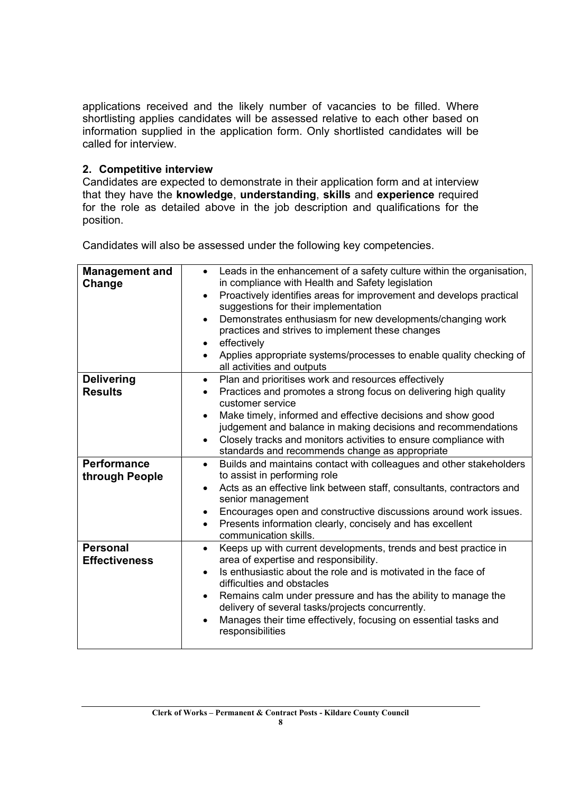applications received and the likely number of vacancies to be filled. Where shortlisting applies candidates will be assessed relative to each other based on information supplied in the application form. Only shortlisted candidates will be called for interview.

# 2. Competitive interview

Candidates are expected to demonstrate in their application form and at interview that they have the knowledge, understanding, skills and experience required for the role as detailed above in the job description and qualifications for the position.

Candidates will also be assessed under the following key competencies.

| <b>Management and</b><br>Change      | Leads in the enhancement of a safety culture within the organisation,<br>in compliance with Health and Safety legislation<br>Proactively identifies areas for improvement and develops practical<br>$\bullet$<br>suggestions for their implementation<br>Demonstrates enthusiasm for new developments/changing work<br>$\bullet$<br>practices and strives to implement these changes<br>effectively<br>$\bullet$<br>Applies appropriate systems/processes to enable quality checking of<br>all activities and outputs |
|--------------------------------------|-----------------------------------------------------------------------------------------------------------------------------------------------------------------------------------------------------------------------------------------------------------------------------------------------------------------------------------------------------------------------------------------------------------------------------------------------------------------------------------------------------------------------|
| <b>Delivering</b><br><b>Results</b>  | Plan and prioritises work and resources effectively<br>$\bullet$<br>Practices and promotes a strong focus on delivering high quality                                                                                                                                                                                                                                                                                                                                                                                  |
|                                      | customer service                                                                                                                                                                                                                                                                                                                                                                                                                                                                                                      |
|                                      | Make timely, informed and effective decisions and show good                                                                                                                                                                                                                                                                                                                                                                                                                                                           |
|                                      | judgement and balance in making decisions and recommendations<br>Closely tracks and monitors activities to ensure compliance with<br>$\bullet$                                                                                                                                                                                                                                                                                                                                                                        |
|                                      | standards and recommends change as appropriate                                                                                                                                                                                                                                                                                                                                                                                                                                                                        |
| <b>Performance</b><br>through People | Builds and maintains contact with colleagues and other stakeholders<br>$\bullet$<br>to assist in performing role                                                                                                                                                                                                                                                                                                                                                                                                      |
|                                      | Acts as an effective link between staff, consultants, contractors and<br>senior management                                                                                                                                                                                                                                                                                                                                                                                                                            |
|                                      | Encourages open and constructive discussions around work issues.<br>$\bullet$                                                                                                                                                                                                                                                                                                                                                                                                                                         |
|                                      | Presents information clearly, concisely and has excellent<br>communication skills.                                                                                                                                                                                                                                                                                                                                                                                                                                    |
| <b>Personal</b>                      | Keeps up with current developments, trends and best practice in<br>$\bullet$                                                                                                                                                                                                                                                                                                                                                                                                                                          |
| <b>Effectiveness</b>                 | area of expertise and responsibility.<br>Is enthusiastic about the role and is motivated in the face of<br>$\bullet$                                                                                                                                                                                                                                                                                                                                                                                                  |
|                                      | difficulties and obstacles                                                                                                                                                                                                                                                                                                                                                                                                                                                                                            |
|                                      | Remains calm under pressure and has the ability to manage the<br>$\bullet$<br>delivery of several tasks/projects concurrently.                                                                                                                                                                                                                                                                                                                                                                                        |
|                                      | Manages their time effectively, focusing on essential tasks and<br>responsibilities                                                                                                                                                                                                                                                                                                                                                                                                                                   |